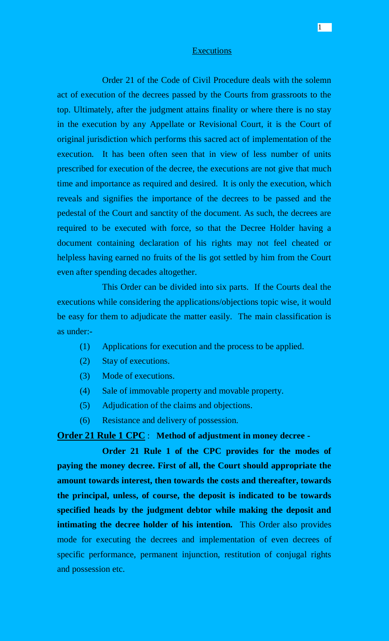#### **Executions**

Order 21 of the Code of Civil Procedure deals with the solemn act of execution of the decrees passed by the Courts from grassroots to the top. Ultimately, after the judgment attains finality or where there is no stay in the execution by any Appellate or Revisional Court, it is the Court of original jurisdiction which performs this sacred act of implementation of the execution. It has been often seen that in view of less number of units prescribed for execution of the decree, the executions are not give that much time and importance as required and desired. It is only the execution, which reveals and signifies the importance of the decrees to be passed and the pedestal of the Court and sanctity of the document. As such, the decrees are required to be executed with force, so that the Decree Holder having a document containing declaration of his rights may not feel cheated or helpless having earned no fruits of the lis got settled by him from the Court even after spending decades altogether.

This Order can be divided into six parts. If the Courts deal the executions while considering the applications/objections topic wise, it would be easy for them to adjudicate the matter easily. The main classification is as under:-

- (1) Applications for execution and the process to be applied.
- (2) Stay of executions.
- (3) Mode of executions.
- (4) Sale of immovable property and movable property.
- (5) Adjudication of the claims and objections.
- (6) Resistance and delivery of possession.

### **Order 21 Rule 1 CPC** : **Method of adjustment in money decree -**

**Order 21 Rule 1 of the CPC provides for the modes of paying the money decree. First of all, the Court should appropriate the amount towards interest, then towards the costs and thereafter, towards the principal, unless, of course, the deposit is indicated to be towards specified heads by the judgment debtor while making the deposit and intimating the decree holder of his intention.** This Order also provides mode for executing the decrees and implementation of even decrees of specific performance, permanent injunction, restitution of conjugal rights and possession etc.

1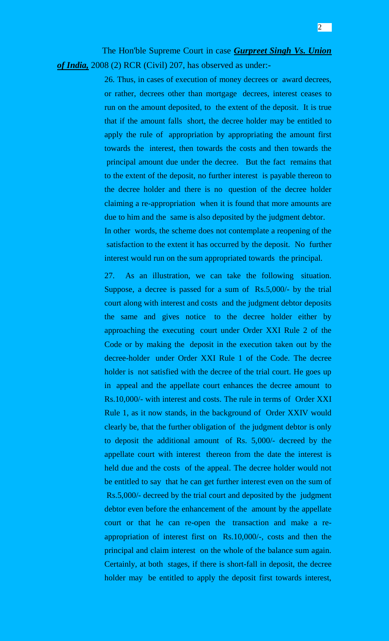The Hon'ble Supreme Court in case *Gurpreet Singh Vs. Union of India,* 2008 (2) RCR (Civil) 207, has observed as under:-

> 26. Thus, in cases of execution of money decrees or award decrees, or rather, decrees other than mortgage decrees, interest ceases to run on the amount deposited, to the extent of the deposit. It is true that if the amount falls short, the decree holder may be entitled to apply the rule of appropriation by appropriating the amount first towards the interest, then towards the costs and then towards the principal amount due under the decree. But the fact remains that to the extent of the deposit, no further interest is payable thereon to the decree holder and there is no question of the decree holder claiming a re-appropriation when it is found that more amounts are due to him and the same is also deposited by the judgment debtor. In other words, the scheme does not contemplate a reopening of the satisfaction to the extent it has occurred by the deposit. No further interest would run on the sum appropriated towards the principal.

> 27. As an illustration, we can take the following situation. Suppose, a decree is passed for a sum of Rs.5,000/- by the trial court along with interest and costs and the judgment debtor deposits the same and gives notice to the decree holder either by approaching the executing court under Order XXI Rule 2 of the Code or by making the deposit in the execution taken out by the decree-holder under Order XXI Rule 1 of the Code. The decree holder is not satisfied with the decree of the trial court. He goes up in appeal and the appellate court enhances the decree amount to Rs.10,000/- with interest and costs. The rule in terms of Order XXI Rule 1, as it now stands, in the background of Order XXIV would clearly be, that the further obligation of the judgment debtor is only to deposit the additional amount of Rs. 5,000/- decreed by the appellate court with interest thereon from the date the interest is held due and the costs of the appeal. The decree holder would not be entitled to say that he can get further interest even on the sum of Rs.5,000/- decreed by the trial court and deposited by the judgment debtor even before the enhancement of the amount by the appellate court or that he can re-open the transaction and make a reappropriation of interest first on Rs.10,000/-, costs and then the principal and claim interest on the whole of the balance sum again. Certainly, at both stages, if there is short-fall in deposit, the decree holder may be entitled to apply the deposit first towards interest,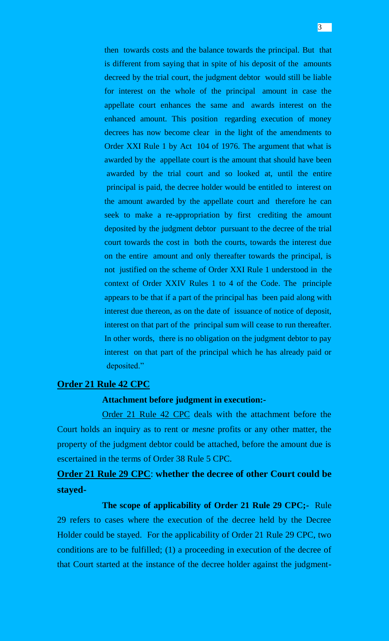then towards costs and the balance towards the principal. But that is different from saying that in spite of his deposit of the amounts decreed by the trial court, the judgment debtor would still be liable for interest on the whole of the principal amount in case the appellate court enhances the same and awards interest on the enhanced amount. This position regarding execution of money decrees has now become clear in the light of the amendments to Order XXI Rule 1 by Act 104 of 1976. The argument that what is awarded by the appellate court is the amount that should have been awarded by the trial court and so looked at, until the entire principal is paid, the decree holder would be entitled to interest on the amount awarded by the appellate court and therefore he can seek to make a re-appropriation by first crediting the amount deposited by the judgment debtor pursuant to the decree of the trial court towards the cost in both the courts, towards the interest due on the entire amount and only thereafter towards the principal, is not justified on the scheme of Order XXI Rule 1 understood in the context of Order XXIV Rules 1 to 4 of the Code. The principle appears to be that if a part of the principal has been paid along with interest due thereon, as on the date of issuance of notice of deposit, interest on that part of the principal sum will cease to run thereafter. In other words, there is no obligation on the judgment debtor to pay interest on that part of the principal which he has already paid or deposited."

### **Order 21 Rule 42 CPC**

#### **Attachment before judgment in execution:-**

Order 21 Rule 42 CPC deals with the attachment before the Court holds an inquiry as to rent or *mesne* profits or any other matter, the property of the judgment debtor could be attached, before the amount due is escertained in the terms of Order 38 Rule 5 CPC.

# **Order 21 Rule 29 CPC**: **whether the decree of other Court could be stayed-**

**The scope of applicability of Order 21 Rule 29 CPC;-** Rule 29 refers to cases where the execution of the decree held by the Decree Holder could be stayed. For the applicability of Order 21 Rule 29 CPC, two conditions are to be fulfilled; (1) a proceeding in execution of the decree of that Court started at the instance of the decree holder against the judgment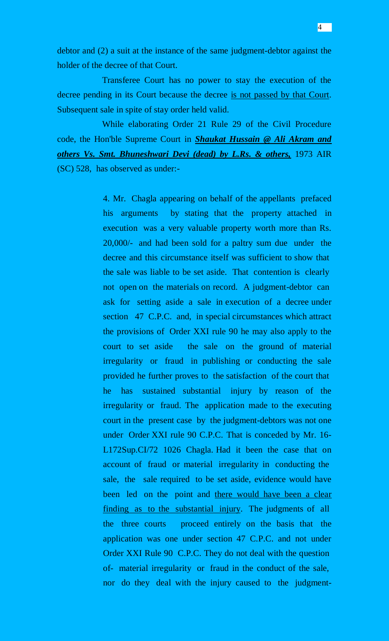debtor and (2) a suit at the instance of the same judgment-debtor against the holder of the decree of that Court.

Transferee Court has no power to stay the execution of the decree pending in its Court because the decree is not passed by that Court. Subsequent sale in spite of stay order held valid.

While elaborating Order 21 Rule 29 of the Civil Procedure code, the Hon'ble Supreme Court in *Shaukat Hussain @ Ali Akram and others Vs. Smt. Bhuneshwari Devi (dead) by L.Rs. & others,* 1973 AIR (SC) 528, has observed as under:-

> 4. Mr. Chagla appearing on behalf of the appellants prefaced his arguments by stating that the property attached in execution was a very valuable property worth more than Rs. 20,000/- and had been sold for a paltry sum due under the decree and this circumstance itself was sufficient to show that the sale was liable to be set aside. That contention is clearly not open on the materials on record. A judgment-debtor can ask for setting aside a sale in execution of a decree under section 47 C.P.C. and, in special circumstances which attract the provisions of Order XXI rule 90 he may also apply to the court to set aside the sale on the ground of material irregularity or fraud in publishing or conducting the sale provided he further proves to the satisfaction of the court that he has sustained substantial injury by reason of the irregularity or fraud. The application made to the executing court in the present case by the judgment-debtors was not one under Order XXI rule 90 C.P.C. That is conceded by Mr. 16- L172Sup.CI/72 1026 Chagla. Had it been the case that on account of fraud or material irregularity in conducting the sale, the sale required to be set aside, evidence would have been led on the point and there would have been a clear finding as to the substantial injury. The judgments of all the three courts proceed entirely on the basis that the application was one under section 47 C.P.C. and not under Order XXI Rule 90 C.P.C. They do not deal with the question of- material irregularity or fraud in the conduct of the sale, nor do they deal with the injury caused to the judgment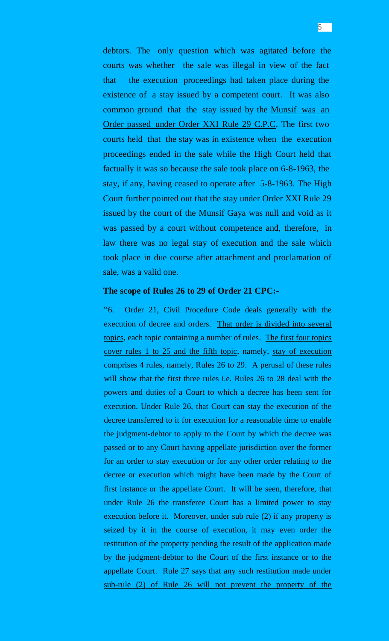debtors. The only question which was agitated before the courts was whether the sale was illegal in view of the fact that the execution proceedings had taken place during the existence of a stay issued by a competent court. It was also common ground that the stay issued by the Munsif was an Order passed under Order XXI Rule 29 C.P.C. The first two courts held that the stay was in existence when the execution proceedings ended in the sale while the High Court held that factually it was so because the sale took place on 6-8-1963, the stay, if any, having ceased to operate after 5-8-1963. The High Court further pointed out that the stay under Order XXI Rule 29 issued by the court of the Munsif Gaya was null and void as it was passed by a court without competence and, therefore, in law there was no legal stay of execution and the sale which took place in due course after attachment and proclamation of

# **The scope of Rules 26 to 29 of Order 21 CPC:-**

sale, was a valid one.

"6. Order 21, Civil Procedure Code deals generally with the execution of decree and orders. That order is divided into several topics, each topic containing a number of rules. The first four topics cover rules 1 to 25 and the fifth topic, namely, stay of execution comprises 4 rules, namely, Rules 26 to 29. A perusal of these rules will show that the first three rules i.e. Rules 26 to 28 deal with the powers and duties of a Court to which a decree has been sent for execution. Under Rule 26, that Court can stay the execution of the decree transferred to it for execution for a reasonable time to enable the judgment-debtor to apply to the Court by which the decree was passed or to any Court having appellate jurisdiction over the former for an order to stay execution or for any other order relating to the decree or execution which might have been made by the Court of first instance or the appellate Court. It will be seen, therefore, that under Rule 26 the transferee Court has a limited power to stay execution before it. Moreover, under sub rule (2) if any property is seized by it in the course of execution, it may even order the restitution of the property pending the result of the application made by the judgment-debtor to the Court of the first instance or to the appellate Court. Rule 27 says that any such restitution made under sub-rule (2) of Rule 26 will not prevent the property of the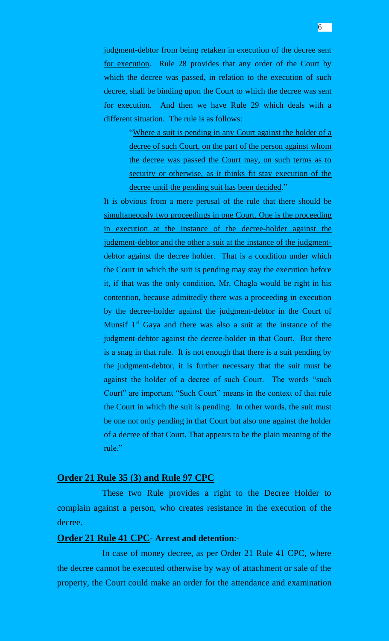judgment-debtor from being retaken in execution of the decree sent for execution. Rule 28 provides that any order of the Court by which the decree was passed, in relation to the execution of such decree, shall be binding upon the Court to which the decree was sent for execution. And then we have Rule 29 which deals with a different situation. The rule is as follows:

> "Where a suit is pending in any Court against the holder of a decree of such Court, on the part of the person against whom the decree was passed the Court may, on such terms as to security or otherwise, as it thinks fit stay execution of the decree until the pending suit has been decided."

It is obvious from a mere perusal of the rule that there should be simultaneously two proceedings in one Court. One is the proceeding in execution at the instance of the decree-holder against the judgment-debtor and the other a suit at the instance of the judgmentdebtor against the decree holder. That is a condition under which the Court in which the suit is pending may stay the execution before it, if that was the only condition, Mr. Chagla would be right in his contention, because admittedly there was a proceeding in execution by the decree-holder against the judgment-debtor in the Court of Munsif  $1<sup>st</sup>$  Gaya and there was also a suit at the instance of the judgment-debtor against the decree-holder in that Court. But there is a snag in that rule. It is not enough that there is a suit pending by the judgment-debtor, it is further necessary that the suit must be against the holder of a decree of such Court. The words "such Court" are important "Such Court" means in the context of that rule the Court in which the suit is pending. In other words, the suit must be one not only pending in that Court but also one against the holder of a decree of that Court. That appears to be the plain meaning of the rule."

#### **Order 21 Rule 35 (3) and Rule 97 CPC**

These two Rule provides a right to the Decree Holder to complain against a person, who creates resistance in the execution of the decree.

### **Order 21 Rule 41 CPC**- **Arrest and detention**:-

In case of money decree, as per Order 21 Rule 41 CPC, where the decree cannot be executed otherwise by way of attachment or sale of the property, the Court could make an order for the attendance and examination

6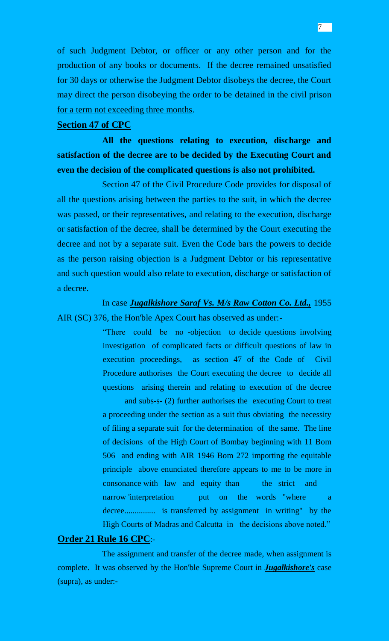of such Judgment Debtor, or officer or any other person and for the production of any books or documents. If the decree remained unsatisfied for 30 days or otherwise the Judgment Debtor disobeys the decree, the Court may direct the person disobeying the order to be detained in the civil prison for a term not exceeding three months.

#### **Section 47 of CPC**

**All the questions relating to execution, discharge and satisfaction of the decree are to be decided by the Executing Court and even the decision of the complicated questions is also not prohibited.**

Section 47 of the Civil Procedure Code provides for disposal of all the questions arising between the parties to the suit, in which the decree was passed, or their representatives, and relating to the execution, discharge or satisfaction of the decree, shall be determined by the Court executing the decree and not by a separate suit. Even the Code bars the powers to decide as the person raising objection is a Judgment Debtor or his representative and such question would also relate to execution, discharge or satisfaction of a decree.

In case *Jugalkishore Saraf Vs. M/s Raw Cotton Co. Ltd.,* 1955 AIR (SC) 376, the Hon'ble Apex Court has observed as under:-

> "There could be no -objection to decide questions involving investigation of complicated facts or difficult questions of law in execution proceedings, as section 47 of the Code of Civil Procedure authorises the Court executing the decree to decide all questions arising therein and relating to execution of the decree

> and subs-s- (2) further authorises the executing Court to treat a proceeding under the section as a suit thus obviating the necessity of filing a separate suit for the determination of the same. The line of decisions of the High Court of Bombay beginning with 11 Bom 506 and ending with AIR 1946 Bom 272 importing the equitable principle above enunciated therefore appears to me to be more in consonance with law and equity than the strict and narrow 'interpretation but on the words "where a decree............... is transferred by assignment in writing" by the High Courts of Madras and Calcutta in the decisions above noted."

#### **Order 21 Rule 16 CPC**:-

The assignment and transfer of the decree made, when assignment is complete. It was observed by the Hon'ble Supreme Court in *Jugalkishore's* case (supra), as under:-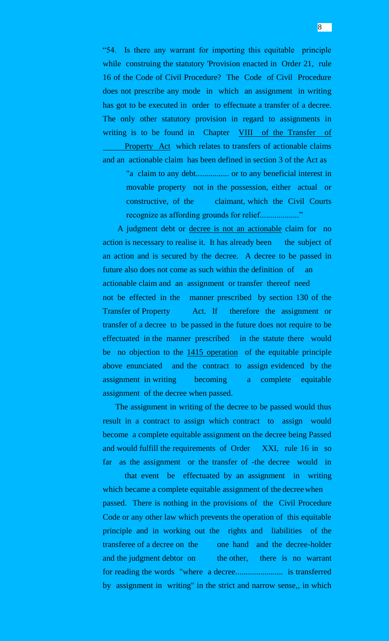"54. Is there any warrant for importing this equitable principle while construing the statutory 'Provision enacted in Order 21, rule 16 of the Code of Civil Procedure? The Code of Civil Procedure does not prescribe any mode in which an assignment in writing has got to be executed in order to effectuate a transfer of a decree. The only other statutory provision in regard to assignments in writing is to be found in Chapter VIII of the Transfer of Property Act which relates to transfers of actionable claims and an actionable claim has been defined in section 3 of the Act as

> "a claim to any debt................ or to any beneficial interest in movable property not in the possession, either actual or constructive, of the claimant, which the Civil Courts recognize as affording grounds for relief..................."

A judgment debt or decree is not an actionable claim for no action is necessary to realise it. It has already been the subject of an action and is secured by the decree. A decree to be passed in future also does not come as such within the definition of an actionable claim and an assignment or transfer thereof need not be effected in the manner prescribed by section 130 of the Transfer of Property Act. If therefore the assignment or transfer of a decree to be passed in the future does not require to be effectuated in the manner prescribed in the statute there would be no objection to the 1415 operation of the equitable principle above enunciated and the contract to assign evidenced by the assignment in writing becoming a complete equitable assignment of the decree when passed.

 The assignment in writing of the decree to be passed would thus result in a contract to assign which contract to assign would become a complete equitable assignment on the decree being Passed and would fulfill the requirements of Order XXI, rule 16 in so far as the assignment or the transfer of -the decree would in

that event be effectuated by an assignment in writing which became a complete equitable assignment of the decree when passed. There is nothing in the provisions of the Civil Procedure Code or any other law which prevents the operation of this equitable principle and in working out the rights and liabilities of the transferee of a decree on the one hand and the decree-holder and the judgment debtor on the other, there is no warrant for reading the words "where a decree....................... is transferred by assignment in writing" in the strict and narrow sense,, in which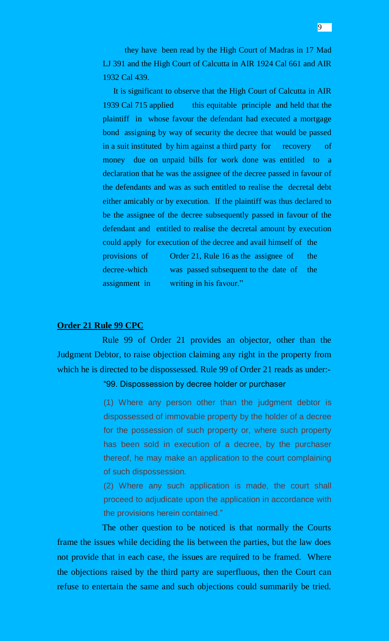they have been read by the High Court of Madras in 17 Mad LJ 391 and the High Court of Calcutta in AIR 1924 Cal 661 and AIR 1932 Cal 439.

 It is significant to observe that the High Court of Calcutta in AIR 1939 Cal 715 applied this equitable principle and held that the plaintiff in whose favour the defendant had executed a mortgage bond assigning by way of security the decree that would be passed in a suit instituted by him against a third party for recovery of money due on unpaid bills for work done was entitled to a declaration that he was the assignee of the decree passed in favour of the defendants and was as such entitled to realise the decretal debt either amicably or by execution. If the plaintiff was thus declared to be the assignee of the decree subsequently passed in favour of the defendant and entitled to realise the decretal amount by execution could apply for execution of the decree and avail himself of the provisions of Order 21, Rule 16 as the assignee of the decree-which was passed subsequent to the date of the assignment in writing in his favour."

#### **Order 21 Rule 99 CPC**

Rule 99 of Order 21 provides an objector, other than the Judgment Debtor, to raise objection claiming any right in the property from which he is directed to be dispossessed. Rule 99 of Order 21 reads as under:-

"99. Dispossession by decree holder or purchaser

(1) Where any person other than the judgment debtor is dispossessed of immovable property by the holder of a decree for the possession of such property or, where such property has been sold in execution of a decree, by the purchaser thereof, he may make an application to the court complaining of such dispossession.

(2) Where any such application is made, the court shall proceed to adjudicate upon the application in accordance with the provisions herein contained."

The other question to be noticed is that normally the Courts frame the issues while deciding the lis between the parties, but the law does not provide that in each case, the issues are required to be framed. Where the objections raised by the third party are superfluous, then the Court can refuse to entertain the same and such objections could summarily be tried.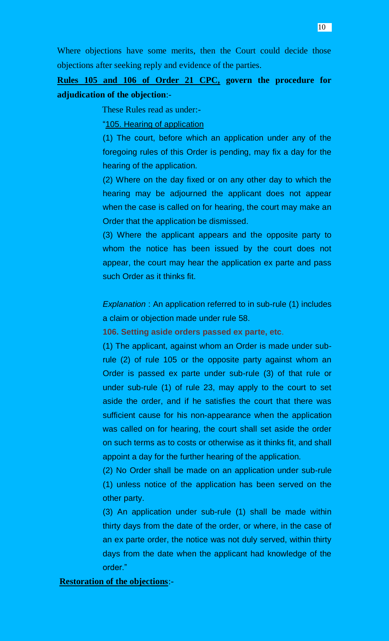Where objections have some merits, then the Court could decide those objections after seeking reply and evidence of the parties.

# **Rules 105 and 106 of Order 21 CPC, govern the procedure for adjudication of the objection**:-

These Rules read as under:-

"105. Hearing of application

(1) The court, before which an application under any of the foregoing rules of this Order is pending, may fix a day for the hearing of the application.

(2) Where on the day fixed or on any other day to which the hearing may be adjourned the applicant does not appear when the case is called on for hearing, the court may make an Order that the application be dismissed.

(3) Where the applicant appears and the opposite party to whom the notice has been issued by the court does not appear, the court may hear the application ex parte and pass such Order as it thinks fit.

**Explanation : An application referred to in sub-rule (1) includes** a claim or objection made under rule 58.

**106. Setting aside orders passed ex parte, etc**.

(1) The applicant, against whom an Order is made under subrule (2) of rule 105 or the opposite party against whom an Order is passed ex parte under sub-rule (3) of that rule or under sub-rule (1) of rule 23, may apply to the court to set aside the order, and if he satisfies the court that there was sufficient cause for his non-appearance when the application was called on for hearing, the court shall set aside the order on such terms as to costs or otherwise as it thinks fit, and shall appoint a day for the further hearing of the application.

(2) No Order shall be made on an application under sub-rule (1) unless notice of the application has been served on the other party.

(3) An application under sub-rule (1) shall be made within thirty days from the date of the order, or where, in the case of an ex parte order, the notice was not duly served, within thirty days from the date when the applicant had knowledge of the order."

**Restoration of the objections**:-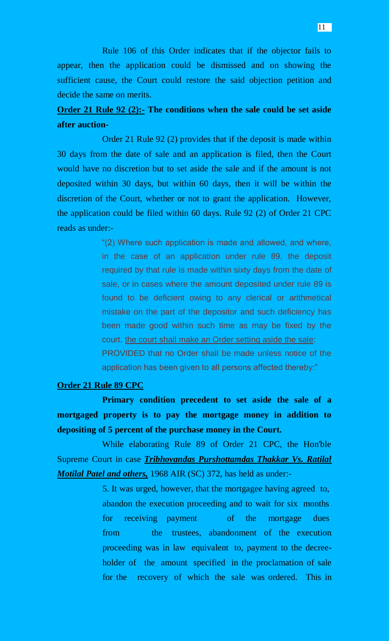Rule 106 of this Order indicates that if the objector fails to appear, then the application could be dismissed and on showing the sufficient cause, the Court could restore the said objection petition and decide the same on merits.

# **Order 21 Rule 92 (2):- The conditions when the sale could be set aside after auction-**

Order 21 Rule 92 (2) provides that if the deposit is made within 30 days from the date of sale and an application is filed, then the Court would have no discretion but to set aside the sale and if the amount is not deposited within 30 days, but within 60 days, then it will be within the discretion of the Court, whether or not to grant the application. However, the application could be filed within 60 days. Rule 92 (2) of Order 21 CPC reads as under:-

> "(2) Where such application is made and allowed, and where, in the case of an application under rule 89, the deposit required by that rule is made within sixty days from the date of sale, or in cases where the amount deposited under rule 89 is found to be deficient owing to any clerical or arithmetical mistake on the part of the depositor and such deficiency has been made good within such time as may be fixed by the court, the court shall make an Order setting aside the sale: PROVIDED that no Order shall be made unless notice of the application has been given to all persons affected thereby:"

#### **Order 21 Rule 89 CPC**

**Primary condition precedent to set aside the sale of a mortgaged property is to pay the mortgage money in addition to depositing of 5 percent of the purchase money in the Court.**

While elaborating Rule 89 of Order 21 CPC, the Hon'ble Supreme Court in case *Tribhovandas Purshottamdas Thakkar Vs. Ratilal Motilal Patel and others,* 1968 AIR (SC) 372, has held as under:-

> 5. It was urged, however, that the mortgagee having agreed to, abandon the execution proceeding and to wait for six months for receiving payment of the mortgage dues from the trustees, abandonment of the execution proceeding was in law equivalent to, payment to the decreeholder of the amount specified in the proclamation of sale for the recovery of which the sale was ordered. This in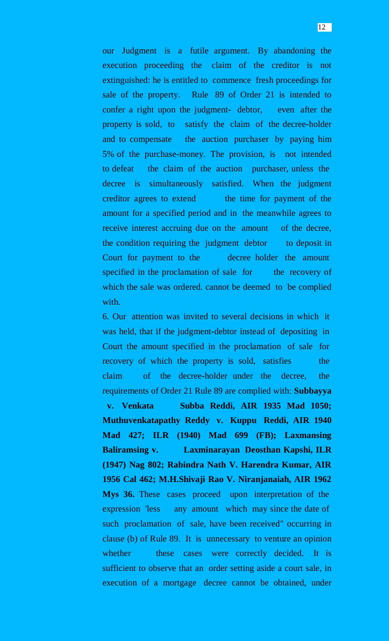our Judgment is a futile argument. By abandoning the execution proceeding the claim of the creditor is not extinguished: he is entitled to commence fresh proceedings for sale of the property. Rule 89 of Order 21 is intended to confer a right upon the judgment- debtor, even after the property is sold, to satisfy the claim of the decree-holder and to compensate the auction purchaser by paying him 5% of the purchase-money. The provision, is not intended to defeat the claim of the auction purchaser, unless the decree is simultaneously satisfied. When the judgment creditor agrees to extend the time for payment of the amount for a specified period and in the meanwhile agrees to receive interest accruing due on the amount of the decree, the condition requiring the judgment debtor to deposit in Court for payment to the decree holder the amount specified in the proclamation of sale for the recovery of which the sale was ordered. cannot be deemed to be complied with.

6. Our attention was invited to several decisions in which it was held, that if the judgment-debtor instead of depositing in Court the amount specified in the proclamation of sale for recovery of which the property is sold, satisfies the claim of the decree-holder under the decree, the requirements of Order 21 Rule 89 are complied with: **Subbayya v. Venkata Subba Reddi, AIR 1935 Mad 1050; Muthuvenkatapathy Reddy v. Kuppu Reddi, AIR 1940 Mad 427; ILR (1940) Mad 699 (FB); Laxmansing Baliramsing v. Laxminarayan Deosthan Kapshi, ILR (1947) Nag 802; Rabindra Nath V. Harendra Kumar, AIR 1956 Cal 462; M.H.Shivaji Rao V. Niranjanaiah, AIR 1962 Mys 36.** These cases proceed upon interpretation of the expression 'less any amount which may since the date of such proclamation of sale, have been received" occurring in clause (b) of Rule 89. It is unnecessary to venture an opinion whether these cases were correctly decided. It is sufficient to observe that an order setting aside a court sale, in execution of a mortgage decree cannot be obtained, under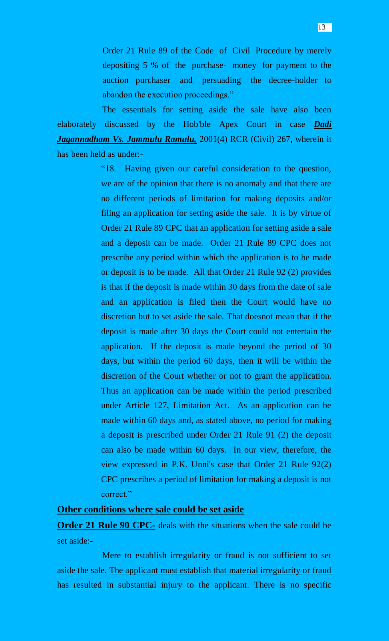Order 21 Rule 89 of the Code of Civil Procedure by merely depositing 5 % of the purchase- money for payment to the auction purchaser and persuading the decree-holder to abandon the execution proceedings."

The essentials for setting aside the sale have also been elaborately discussed by the Hob'ble Apex Court in case *Dadi Jagannadham Vs. Jammulu Ramulu,* 2001(4) RCR (Civil) 267, wherein it has been held as under:-

> "18. Having given our careful consideration to the question, we are of the opinion that there is no anomaly and that there are no different periods of limitation for making deposits and/or filing an application for setting aside the sale. It is by virtue of Order 21 Rule 89 CPC that an application for setting aside a sale and a deposit can be made. Order 21 Rule 89 CPC does not prescribe any period within which the application is to be made or deposit is to be made. All that Order 21 Rule 92 (2) provides is that if the deposit is made within 30 days from the date of sale and an application is filed then the Court would have no discretion but to set aside the sale. That doesnot mean that if the deposit is made after 30 days the Court could not entertain the application. If the deposit is made beyond the period of 30 days, but within the period 60 days, then it will be within the discretion of the Court whether or not to grant the application. Thus an application can be made within the period prescribed under Article 127, Limitation Act. As an application can be made within 60 days and, as stated above, no period for making a deposit is prescribed under Order 21 Rule 91 (2) the deposit can also be made within 60 days. In our view, therefore, the view expressed in P.K. Unni's case that Order 21 Rule 92(2) CPC prescribes a period of limitation for making a deposit is not correct."

### **Other conditions where sale could be set aside**

**Order 21 Rule 90 CPC-** deals with the situations when the sale could be set aside:-

Mere to establish irregularity or fraud is not sufficient to set aside the sale. The applicant must establish that material irregularity or fraud has resulted in substantial injury to the applicant. There is no specific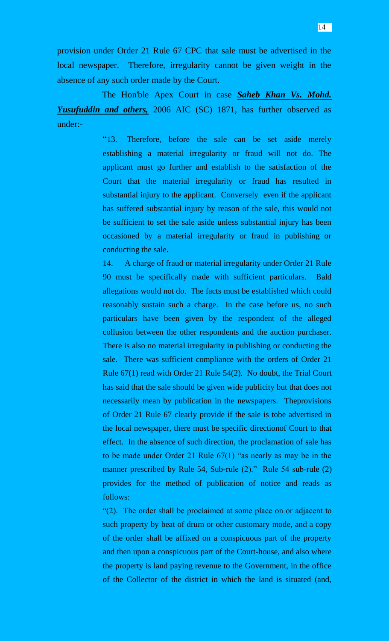provision under Order 21 Rule 67 CPC that sale must be advertised in the local newspaper. Therefore, irregularity cannot be given weight in the absence of any such order made by the Court.

 The Hon'ble Apex Court in case *Saheb Khan Vs. Mohd. Yusufuddin and others,* 2006 AIC (SC) 1871, has further observed as under:-

> "13. Therefore, before the sale can be set aside merely establishing a material irregularity or fraud will not do. The applicant must go further and establish to the satisfaction of the Court that the material irregularity or fraud has resulted in substantial injury to the applicant. Conversely even if the applicant has suffered substantial injury by reason of the sale, this would not be sufficient to set the sale aside unless substantial injury has been occasioned by a material irregularity or fraud in publishing or conducting the sale.

> 14. A charge of fraud or material irregularity under Order 21 Rule 90 must be specifically made with sufficient particulars. Bald allegations would not do. The facts must be established which could reasonably sustain such a charge. In the case before us, no such particulars have been given by the respondent of the alleged collusion between the other respondents and the auction purchaser. There is also no material irregularity in publishing or conducting the sale. There was sufficient compliance with the orders of Order 21 Rule 67(1) read with Order 21 Rule 54(2). No doubt, the Trial Court has said that the sale should be given wide publicity but that does not necessarily mean by publication in the newspapers. Theprovisions of Order 21 Rule 67 clearly provide if the sale is tobe advertised in the local newspaper, there must be specific directionof Court to that effect. In the absence of such direction, the proclamation of sale has to be made under Order 21 Rule 67(1) "as nearly as may be in the manner prescribed by Rule 54, Sub-rule (2)." Rule 54 sub-rule (2) provides for the method of publication of notice and reads as follows:

> "(2). The order shall be proclaimed at some place on or adjacent to such property by beat of drum or other customary mode, and a copy of the order shall be affixed on a conspicuous part of the property and then upon a conspicuous part of the Court-house, and also where the property is land paying revenue to the Government, in the office of the Collector of the district in which the land is situated (and,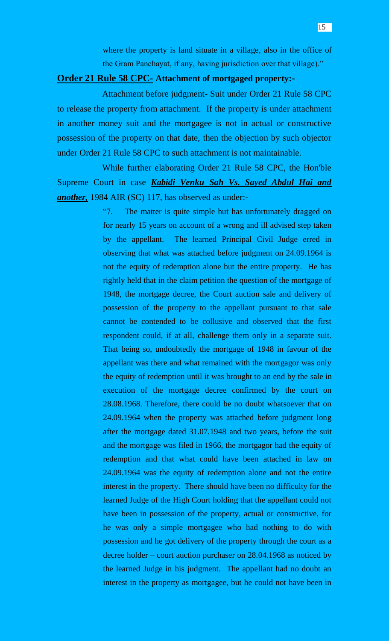where the property is land situate in a village, also in the office of the Gram Panchayat, if any, having jurisdiction over that village)."

### **Order 21 Rule 58 CPC- Attachment of mortgaged property:-**

Attachment before judgment- Suit under Order 21 Rule 58 CPC to release the property from attachment. If the property is under attachment in another money suit and the mortgagee is not in actual or constructive possession of the property on that date, then the objection by such objector under Order 21 Rule 58 CPC to such attachment is not maintainable.

While further elaborating Order 21 Rule 58 CPC, the Hon'ble Supreme Court in case *Kabidi Venku Sah Vs. Sayed Abdul Hai and another,* 1984 AIR (SC) 117, has observed as under:-

> "7. The matter is quite simple but has unfortunately dragged on for nearly 15 years on account of a wrong and ill advised step taken by the appellant. The learned Principal Civil Judge erred in observing that what was attached before judgment on 24.09.1964 is not the equity of redemption alone but the entire property. He has rightly held that in the claim petition the question of the mortgage of 1948, the mortgage decree, the Court auction sale and delivery of possession of the property to the appellant pursuant to that sale cannot be contended to be collusive and observed that the first respondent could, if at all, challenge them only in a separate suit. That being so, undoubtedly the mortgage of 1948 in favour of the appellant was there and what remained with the mortgagor was only the equity of redemption until it was brought to an end by the sale in execution of the mortgage decree confirmed by the court on 28.08.1968. Therefore, there could be no doubt whatsoever that on 24.09.1964 when the property was attached before judgment long after the mortgage dated 31.07.1948 and two years, before the suit and the mortgage was filed in 1966, the mortgagor had the equity of redemption and that what could have been attached in law on 24.09.1964 was the equity of redemption alone and not the entire interest in the property. There should have been no difficulty for the learned Judge of the High Court holding that the appellant could not have been in possession of the property, actual or constructive, for he was only a simple mortgagee who had nothing to do with possession and he got delivery of the property through the court as a decree holder – court auction purchaser on 28.04.1968 as noticed by the learned Judge in his judgment. The appellant had no doubt an interest in the property as mortgagee, but he could not have been in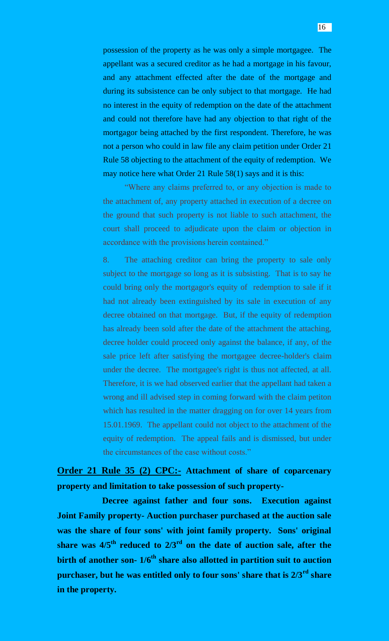possession of the property as he was only a simple mortgagee. The appellant was a secured creditor as he had a mortgage in his favour, and any attachment effected after the date of the mortgage and during its subsistence can be only subject to that mortgage. He had no interest in the equity of redemption on the date of the attachment and could not therefore have had any objection to that right of the mortgagor being attached by the first respondent. Therefore, he was not a person who could in law file any claim petition under Order 21 Rule 58 objecting to the attachment of the equity of redemption. We may notice here what Order 21 Rule 58(1) says and it is this:

"Where any claims preferred to, or any objection is made to the attachment of, any property attached in execution of a decree on the ground that such property is not liable to such attachment, the court shall proceed to adjudicate upon the claim or objection in accordance with the provisions herein contained."

8. The attaching creditor can bring the property to sale only subject to the mortgage so long as it is subsisting. That is to say he could bring only the mortgagor's equity of redemption to sale if it had not already been extinguished by its sale in execution of any decree obtained on that mortgage. But, if the equity of redemption has already been sold after the date of the attachment the attaching, decree holder could proceed only against the balance, if any, of the sale price left after satisfying the mortgagee decree-holder's claim under the decree. The mortgagee's right is thus not affected, at all. Therefore, it is we had observed earlier that the appellant had taken a wrong and ill advised step in coming forward with the claim petiton which has resulted in the matter dragging on for over 14 years from 15.01.1969. The appellant could not object to the attachment of the equity of redemption. The appeal fails and is dismissed, but under the circumstances of the case without costs."

**Order 21 Rule 35 (2) CPC:- Attachment of share of coparcenary property and limitation to take possession of such property-**

**Decree against father and four sons. Execution against Joint Family property- Auction purchaser purchased at the auction sale was the share of four sons' with joint family property. Sons' original share was 4/5th reduced to 2/3rd on the date of auction sale, after the birth of another son- 1/6th share also allotted in partition suit to auction purchaser, but he was entitled only to four sons' share that is 2/3rd share in the property.**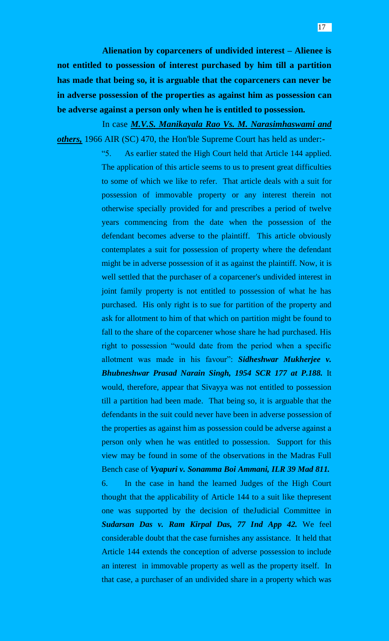In case *M.V.S. Manikayala Rao Vs. M. Narasimhaswami and others,* 1966 AIR (SC) 470, the Hon'ble Supreme Court has held as under:-

> "5. As earlier stated the High Court held that Article 144 applied. The application of this article seems to us to present great difficulties to some of which we like to refer. That article deals with a suit for possession of immovable property or any interest therein not otherwise specially provided for and prescribes a period of twelve years commencing from the date when the possession of the defendant becomes adverse to the plaintiff. This article obviously contemplates a suit for possession of property where the defendant might be in adverse possession of it as against the plaintiff. Now, it is well settled that the purchaser of a coparcener's undivided interest in joint family property is not entitled to possession of what he has purchased. His only right is to sue for partition of the property and ask for allotment to him of that which on partition might be found to fall to the share of the coparcener whose share he had purchased. His right to possession "would date from the period when a specific allotment was made in his favour": *Sidheshwar Mukherjee v. Bhubneshwar Prasad Narain Singh, 1954 SCR 177 at P.188.* It would, therefore, appear that Sivayya was not entitled to possession till a partition had been made. That being so, it is arguable that the defendants in the suit could never have been in adverse possession of the properties as against him as possession could be adverse against a person only when he was entitled to possession. Support for this view may be found in some of the observations in the Madras Full Bench case of *Vyapuri v. Sonamma Boi Ammani, ILR 39 Mad 811.* 6. In the case in hand the learned Judges of the High Court thought that the applicability of Article 144 to a suit like thepresent one was supported by the decision of theJudicial Committee in *Sudarsan Das v. Ram Kirpal Das, 77 Ind App 42.* We feel considerable doubt that the case furnishes any assistance. It held that Article 144 extends the conception of adverse possession to include

an interest in immovable property as well as the property itself. In that case, a purchaser of an undivided share in a property which was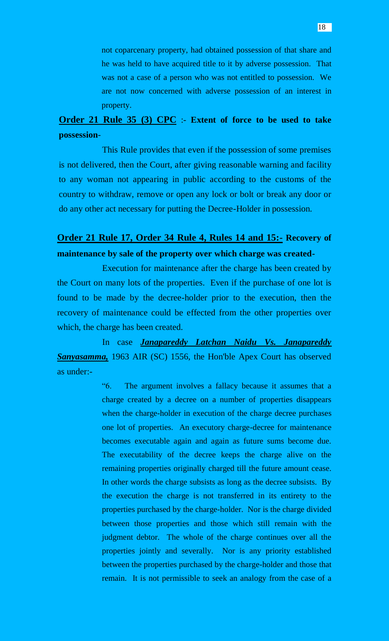not coparcenary property, had obtained possession of that share and he was held to have acquired title to it by adverse possession. That was not a case of a person who was not entitled to possession. We are not now concerned with adverse possession of an interest in property.

# **Order 21 Rule 35 (3) CPC** :- **Extent of force to be used to take possession**-

This Rule provides that even if the possession of some premises is not delivered, then the Court, after giving reasonable warning and facility to any woman not appearing in public according to the customs of the country to withdraw, remove or open any lock or bolt or break any door or do any other act necessary for putting the Decree-Holder in possession.

# **Order 21 Rule 17, Order 34 Rule 4, Rules 14 and 15:- Recovery of maintenance by sale of the property over which charge was created-**

Execution for maintenance after the charge has been created by the Court on many lots of the properties. Even if the purchase of one lot is found to be made by the decree-holder prior to the execution, then the recovery of maintenance could be effected from the other properties over which, the charge has been created.

In case *Janapareddy Latchan Naidu Vs. Janapareddy Sanyasamma,* 1963 AIR (SC) 1556, the Hon'ble Apex Court has observed as under:-

> "6. The argument involves a fallacy because it assumes that a charge created by a decree on a number of properties disappears when the charge-holder in execution of the charge decree purchases one lot of properties. An executory charge-decree for maintenance becomes executable again and again as future sums become due. The executability of the decree keeps the charge alive on the remaining properties originally charged till the future amount cease. In other words the charge subsists as long as the decree subsists. By the execution the charge is not transferred in its entirety to the properties purchased by the charge-holder. Nor is the charge divided between those properties and those which still remain with the judgment debtor. The whole of the charge continues over all the properties jointly and severally. Nor is any priority established between the properties purchased by the charge-holder and those that remain. It is not permissible to seek an analogy from the case of a